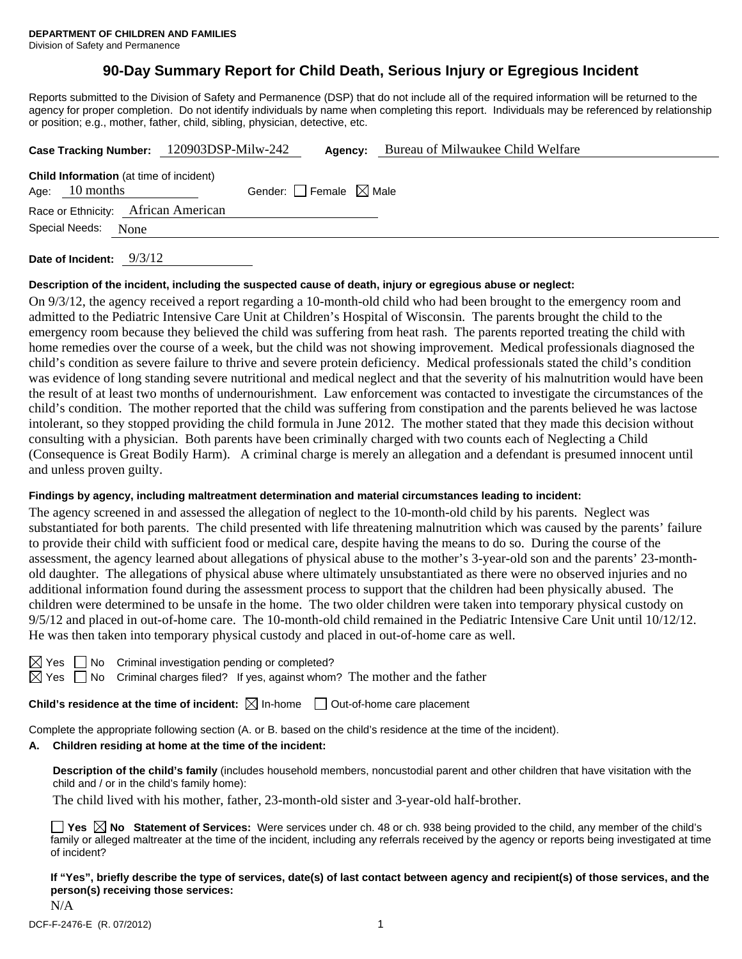# **90-Day Summary Report for Child Death, Serious Injury or Egregious Incident**

Reports submitted to the Division of Safety and Permanence (DSP) that do not include all of the required information will be returned to the agency for proper completion. Do not identify individuals by name when completing this report. Individuals may be referenced by relationship or position; e.g., mother, father, child, sibling, physician, detective, etc.

|                                                | Case Tracking Number: 120903DSP-Milw-242 | Agency:                         | Bureau of Milwaukee Child Welfare |  |
|------------------------------------------------|------------------------------------------|---------------------------------|-----------------------------------|--|
| <b>Child Information</b> (at time of incident) |                                          |                                 |                                   |  |
| Age: $10$ months                               |                                          | Gender: Female $\boxtimes$ Male |                                   |  |
| Race or Ethnicity: African American            |                                          |                                 |                                   |  |
| Special Needs: None                            |                                          |                                 |                                   |  |
| Date of Incident: $9/3/12$                     |                                          |                                 |                                   |  |

# **Description of the incident, including the suspected cause of death, injury or egregious abuse or neglect:**

On 9/3/12, the agency received a report regarding a 10-month-old child who had been brought to the emergency room and admitted to the Pediatric Intensive Care Unit at Children's Hospital of Wisconsin. The parents brought the child to the emergency room because they believed the child was suffering from heat rash. The parents reported treating the child with home remedies over the course of a week, but the child was not showing improvement. Medical professionals diagnosed the child's condition as severe failure to thrive and severe protein deficiency. Medical professionals stated the child's condition was evidence of long standing severe nutritional and medical neglect and that the severity of his malnutrition would have been the result of at least two months of undernourishment. Law enforcement was contacted to investigate the circumstances of the child's condition. The mother reported that the child was suffering from constipation and the parents believed he was lactose intolerant, so they stopped providing the child formula in June 2012. The mother stated that they made this decision without consulting with a physician. Both parents have been criminally charged with two counts each of Neglecting a Child (Consequence is Great Bodily Harm). A criminal charge is merely an allegation and a defendant is presumed innocent until and unless proven guilty.

# **Findings by agency, including maltreatment determination and material circumstances leading to incident:**

The agency screened in and assessed the allegation of neglect to the 10-month-old child by his parents. Neglect was substantiated for both parents. The child presented with life threatening malnutrition which was caused by the parents' failure to provide their child with sufficient food or medical care, despite having the means to do so. During the course of the assessment, the agency learned about allegations of physical abuse to the mother's 3-year-old son and the parents' 23-monthold daughter. The allegations of physical abuse where ultimately unsubstantiated as there were no observed injuries and no additional information found during the assessment process to support that the children had been physically abused. The children were determined to be unsafe in the home. The two older children were taken into temporary physical custody on 9/5/12 and placed in out-of-home care. The 10-month-old child remained in the Pediatric Intensive Care Unit until 10/12/12. He was then taken into temporary physical custody and placed in out-of-home care as well.

 $\Box$  No Criminal investigation pending or completed?

 $\boxtimes$  Yes  $\Box$  No Criminal charges filed? If yes, against whom? The mother and the father

**Child's residence at the time of incident:**  $\boxtimes$  In-home  $\Box$  Out-of-home care placement

Complete the appropriate following section (A. or B. based on the child's residence at the time of the incident).

# **A. Children residing at home at the time of the incident:**

**Description of the child's family** (includes household members, noncustodial parent and other children that have visitation with the child and / or in the child's family home):

The child lived with his mother, father, 23-month-old sister and 3-year-old half-brother.

**Yes No Statement of Services:** Were services under ch. 48 or ch. 938 being provided to the child, any member of the child's family or alleged maltreater at the time of the incident, including any referrals received by the agency or reports being investigated at time of incident?

**If "Yes", briefly describe the type of services, date(s) of last contact between agency and recipient(s) of those services, and the person(s) receiving those services:** 

N/A